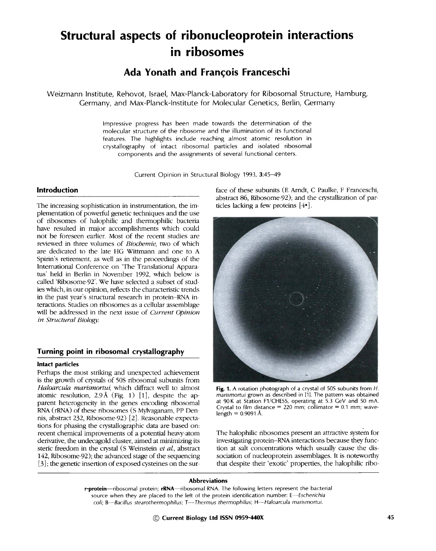# **Structural aspects of ribonucleoprotein interactions in ribosomes**

**Ada Yonath and Frangois Franceschi** 

Weizmann Institute, Rehovot, Israel, Max-Planck-Laboratory for Ribosomal Structure, Hamburg, Germany, and Max-Planck-lnstitute for Molecular Genetics, Berlin, Germany

> Impressive progress has been made towards the determination of the molecular structure of the ribosome and the illumination of its functional features. The highlights include reaching almost atomic resolution in crystallography of intact ribosomal particles and isolated ribosomal components and the assignments of several functional centers.

> > Current Opinion in Structural Biology 1993, 3:45-49

# **Introduction**

The increasing sophistication in instrumentation, the implementation of powerful genetic techniques and the use of ribosomes of halophilic and thermophilic bacteria have resulted in major accomplishments which could not be foreseen earlier. Most of the recent studies are reviewed in three volumes of *Biochemie, two* of which are dedicated to the late HG Wittmann and one to A Spirin's retirement, as well as in the proceedings of the International Conference on 'The Translational Appara tus' held in Berlin in November 1992, which below is called 'Ribosome-92'. We have selected a subset of studies which, in our opinion, reflects the characteristic trends in the past year's structural research in protein-RNA interactions. Studies on ribosomes as a cellular assemblage will be addressed in the next issue of *Current Opinion in Structural Biology.* 

# **Turning point in ribosomal crystallography**

## **Intact particles**

Perhaps the most striking and unexpected achievement is the growth of crystals of 50S ribosomal subunits from *Haloarcula marismortui,* which diffract well to almost atomic resolution,  $2.9~\text{\AA}$  (Fig. 1) [1], despite the apparent heterogeneity in the genes encoding ribosomal RNA (rRNA) of these ribosomes (S Mylvaganam, PP Den nis, abstract 232, Ribosome-92) [2]. Reasonable expectations for phasing the crystallographic data are based on: recent chemical improvements of a potential heavy-atom derivative, the undecagold cluster, aimed at minimizing its steric freedom in the crystal (S Weinstein *et al.,* abstract 142, Ribosome-92); the advanced stage of the sequencing [3]; the genetic insertion of exposed cysteines on the surface of these subunits (E Arndt, C Paulke, F Franceschi, abstract 86, Ribosome-92); and the crystallization of particles lacking a few proteins  $[4\bullet]$ .



Fig. 1. A rotation photograph of a crystal of 50S subunits from H. *marismortui* grown as described in [1]. The pattern was obtained at 90K at Station F1/CHESS, operating at 5.3 GeV and 50 mA, Crystal to film distance  $= 220$  mm; collimator  $= 0.1$  mm; wavelength =  $0.9091$  Å.

The halophilic ribosomes present an attractive system for investigating protein-RNA interactions because they function at salt concentrations which usually cause the dissociation of nucleoprotein assemblages. It is noteworthy that despite their 'exotic' properties, the halophilic ribo-

#### **Abbreviations**

r-protein--ribosomal protein; rRNA--ribosomal RNA. The following letters represent the bacterial source when they are placed to the left of the protein identification number: *E--Escherichia*  coli; B-Bacillus stearothermophilus; T--Thermus thermophilus; H--Haloarcula marismortui.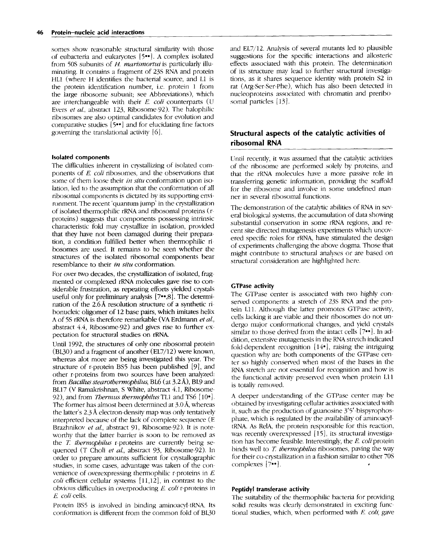#### **46 Protein-nucleic acid interactions**

somes show reasonable structural similarity with those of eubacteria and eukaryotes [5°°]. A complex isolated from 50S subunits of H. marismortui is particularly illuminating. It contains a fragment of 23S RNA and protein HL1 (where H identifies the bacterial source, and L1 is the protein identification number, i.e. protein 1 from the large ribosome subunit; see Abbreviations), which are interchangeable with their E. *coli* counterparts (U Evers *et aL,* abstract 123, Ribosome 92). The halophilic ribosomes are also optimal candidates for evolution and comparative studies  $[5\cdot \cdot]$  and for elucidating fine factors governing the translational activity [6].

### **Isolated components**

The difficulties inherent in crystallizing of isolated components of E. *coli* ribosomes, and the observations that some of them loose their *in situ* conformation upon isolation, led to the assumption that the conformation of all ribosomal components is dictated by its supporting environment. The recent 'quantum jump' in the crystallization of isolated thermophilic rRNA and ribosomal proteins (r proteins) suggests that components possessing intrinsic characteristic fold may crystallize in isolation, provided *that* they have not been damaged during their preparation, a condition fulfilled better when thermophilic ribosomes are used. It remains to be seen whether the structures of the isolated ribosomal components bear resemblance to their *in situ* conformation.

For over two decades, the crystallization of isolated, fragmented or complexed rRNA molecules gave rise to considerable frustration, as repeating efforts yielded crystals useful only for preliminary analysis [7••,8]. The determination of the 2.6A resolution structure of a synthetic ri bonucleic oligomer of 12 base pairs, which imitates helix A of 5S rRNA is therefore remarkable (VA Erdmann *et al.,*  abstract 4.4, Ribosome-92) and gives rise to further expectation for structural studies on rRNA\_

Until 1992, the structures of only one ribosomal protein (BL30) and a fragment of another (EL7/12) were known, whereas alot more are being investigated this year. The structure of r-protein BS5 has been published [9], and other r-proteins from two sources have been analyzed: from *Bacillus stearothermophilus,* BL6 (at 3.2A), BL9 and BL17 (V Ramakrishnan, S White, abstract 4.1, Ribosome-92), and from *Thermus thermophilus* TL1 and TS6 [10<sup>o</sup>]. The former has almost been determined at 3.0 Å, whereas the latter's 2.3 A electron-density map was only tentatively interpreted because of the lack of complete sequence (E Brazhnikov *et al.*, abstract 91, Ribosome-92). It is noteworthy that the latter barrier is soon to be removed as the T. *thermophilus* r-proteins are currently being sequenced (T Choli *et al.,* abstract 93, Ribosome-92). In order to prepare amounts sufficient for crystallographic studies, in some cases, advantage was taken of the convenience of overexpressing thermophilic r-proteins in E. *coli* efficient cellular systems [11,12], in contrast to the obvious difficulties in overproducing E. *coli* r-proteins in *E. coli* cells.

Protein BS5 is involved in binding aminoacyl-tRNA. Its conformation is different from the common fold of BL30

and EL7/12. Analysis of several mutants led to plausible suggestions for the specific interactions and allosteric effects associated with this protein. The determination of its structure may lead to further structural investigations, as it shares sequence identity with protein \$2 in rat (Arg-Ser-Ser-Phe), which has also been detected in nucleoproteins associated with chromatin and preribo somal particles [13].

# **Structural aspects of the catalytic activities of ribosomal RNA**

Until recently, it was assumed that the catalytic activities of the ribosome are performed solely by proteins, and that the rRNA molecules have a more passive role **in**  transferring genetic information, providing the scaffold for the ribosome and involve in some undefined man net **in** several ribosomal functions.

The demonstration of the catalytic abilities of RNA in several biological systems, the accumulation of data showing substantial conservation **in** some rRNA regions, and recent site-directed mutagenesis experiments which uncovered specific roles for rRNA, have stimulated the design of experiments challenging the above dogma. Those that might contribute to structural analyses or are based on structural consideration are highlighted here.

## **GTPase activity**

The GTPase center is associated with two highly conserved components: a stretch of 23S RNA and the protein L11. Although the latter promotes GTPase activity, cells lacking it are viable and their ribosomes do not undergo major conformational changes, and yield crystals similar to those derived from the intact cells [7••]. In addition, extensive mutagenesis in the RNA stretch indicated fold-dependent recognition  $[14\bullet]$ , raising the intriguing question why are both components of the GTPase cen ter so highly conserved when most of the bases **in** the RNA stretch are not essential for recognition and how is the functional activity preserved even when protein Lll is totally removed.

A deeper understanding of the GTPase center may be obtained by investigating cellular activities associated with it, such as the production of guanosine 3'5'-bispyrophosphate, which is regulated by the availability of aminoacyltRNA. As RelA, the protein responsible for this reaction, was recently overexpressed  $[15]$ , its structural investigation has become feasible. Interestingly, the E. *coliprotein*  binds well *to T. thermophilus* ribosomes, paving the way for their co-crystallization in a fashion similar to other 70S complexes [7••].

# **Peptidyl transferase activity**

The suitability of the thermophilic bacteria for providing solid results was clearly demonstrated in exciting functional studies, which, when performed with E *coli,* gave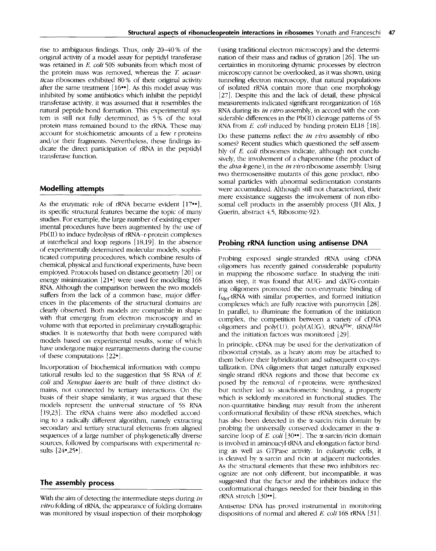rise to ambiguous findings. Thus, only 20-40 % of the original activity of a model assay for peptidyl transferase was retained in *E. coli* 50S subunits from which most of the protein mass was removed, whereas the T. *acuarticus* ribosomes exhibited 80% of their original activity after the same treatment  $[16\bullet]$ . As this model assay was inhibited by some antibiotics which inhibit the peptidyl transferase activity, it was assumed that it resembles the natural peptide-bond formation. This experimental system is still not fully determined, as 5% of the total protein mass remained bound to the rRNA. These may account for stoichiometric amounts of a few r proteins and/or their fragments. Nevertheless, these findings indicate the direct participation of rRNA in the peptidyl transferase function.

# **Modelling attempts**

As the enzymatic role of rRNA became evident  $[17\cdot 1]$ , its specific structural features became the topic of many studies. For example, the large number of existing experimental procedures have been augmented by the use of  $Pb(II)$  to induce hydrolysis of  $rRNA-r$ -protein complexes at interhelical and loop regions [18,19]. In the absence of experimentally determined molecular models, sophisticated computing procedures, which combine results of chemical, physical and functional experiments, have been employed. Protocols based on distance geometry [20] or energy minimization  $[21 \bullet]$  were used for modelling 16S RNA. Although the comparison between the two models suffers from the lack of a common base, major differences in the placements of the structural domains are clearly observed. Both models are compatible in shape with that emerging from electron microscopy and in volume with that reported in preliminary crystallographic studies. It is noteworthy that both were compared with models based on experimental results, some of which have undergone major rearrangements during the course of these computations [22"].

Incorporation of biochemical information with computational results led to the suggestion that  $5S$  RNA of  $E$ . *coli and Xenopus laevis* are built of three distinct domains, not connected by tertiary interactions. On the basis of their shape similarity, it was argued that these models represent the universal structure of 5S RNA [19,23]. The rRNA chains were also modelled accord ing to a radically different algorithm, namely extracting secondary and tertiary structural elements from aligned sequences of a large number of phylogenetically diverse sources, followed by comparisons with experimental results  $[24•,25•]$ .

# **The assembly process**

With the aim of detecting the intermediate steps during *in vitro* folding of rRNA, the appearance of folding domains was monitored by visual inspection of their morphology

(using traditional electron microscopy) and the determination of their mass and radius of gyration [26]. The uncertainties in monitoring dynamic processes by electron microscopy cannot be overlooked, as it was shown, using tunneling electron microscopy, that natural populations of isolated rRNA contain more than one morphology [27]. Despite this and the lack of detail, these physical measurements indicated significant reorganization of 16S RNA during its *in vitro* assembly, in accord with the considerable differences in the Pb(II) cleavage patterns of 5S RNA from *E. coli* induced by binding protein EL18 [18]. Do these patterns reflect the *in vivo* assembly of ribo somes? Recent studies which questioned the self-assembly of E. *coli* ribosomes indicate, although not conclusively, the involvement of a chaperonine (the product of the *dna-kgene),* in the *in vivo* ribosome assembly. Using two thermosensitive mutants of this gene product, ribo somal particles with abnormal sedimentation constants were accumulated. Although still not characterized, their mere exsistance suggests the involvement of non-ribosomal cell products in the assembly process (JH Alix, J Guerin, abstract 4.5, Ribosome-92).

# **Probing rRNA function using antisense DNA**

Probing exposed single-stranded rRNA using cDNA oligomers has recently gained considerable popularity in mapping the ribosome surface. In studying the initiation step, it was found that AUG- and dATG contain ing oligomers promoted the non enzymatic binding of  $f_{\text{Mert}}$ -tRNA with similar properties, and formed initiation complexes which are fully reactive with puromycin [28]. In parallel, to illuminate the formation of the initiation complex, the competition between a variety of cDNA oligomers and poly(U), poly(AUG), tRNA<sup>Phe</sup>, tRNA<sup>fMet</sup> and the initiation factors was monitored [29].

In principle, cDNA may be used for the derivatization of ribosomal crystals, as a heavy atom may be attached to them before their hybridization and subsequent co-crystallization. DNA oligomers that target naturally exposed single strand rRNA regions and those that become exposed by the removal of r-proteins, were synthesized but neither led to stoichiometric binding, a property which is seldomly monitored in functional studies. The non-quantitative binding may result from the inherent conformational flexibility of these rRNA stretches, which has also been detected in the  $\alpha$ -sarcin/ricin domain by probing the universally conserved dodecamer in the  $\alpha$ sarcine loop of *E. coli* [30 $\cdot$ ]. The  $\alpha$ -sarcin/ricin domain is involved in aminoacyl-tRNA and elongation factor binding as well as GTPase activity. In eukaryotic cells, it is cleaved by  $\alpha$ -sarcin and ricin at adjacent nucleotides. As the structural elements that these two inhibitors recognize are not only different, but incompatible, it was suggested that the factor and the inhibitors induce the conformational changes needed for their binding in this rRNA stretch [30<sup>\*\*</sup>].

Antisense DNA has proved instrumental in monitoring dispositions of normal and altered *E. coli* 16S rRNA [31[.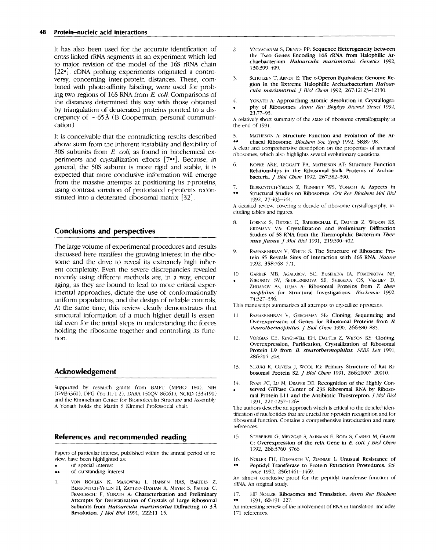## **48 Protein-nucleic acid interactions**

It has also been used for the accurate identification of cross-linked rRNA segments in an experiment which led to major revision of the model of the 16S rRNA chain  $[22\bullet]$ . cDNA probing experiments originated a controversy, concerning inter-protein distances. These, combined with photo-affinity labeling, were used for probing two regions of 16S RNA from *E. coll.* Comparisons of the distances determined this way with those obtained by triangulation of deuterated proteins pointed to a discrepancy of  $\sim 65 \text{\AA}$  (B Cooperman, personal communication).

It is conceivable that the contradicting results described above stem from the inherent instability and flexibility of 30S subunits from *E. coli, as* found in biochemical experiments and crystallization efforts [7••]. Because, in general, the 50S subunit is more rigid and stable, it is expected that more conclusive information will emerge from the massive attempts at positioning its r-proteins, using contrast variation of protonated r-proteins reconstituted into a deuterated ribosomal matrix [32].

# **Conclusions and perspectives**

The large volume of experimental procedures and results discussed here manifest the growing interest in the ribosome and the drive to reveal its extremely high inherent complexity. Even the severe discrepancies revealed recently using different methods are, in a way, encouraging, as they are bound to lead to more critical experimental approaches, dictate the use of conformationally uniform populations, and the design of reliable controls. At the same time, this review clearly demonstrates that structural information of a much higher detail is essential even for the initial steps in understanding the forces holding the ribosome together and controlling its function.

## **Acknowledgement**

Supported by research grants from BMFT (MPBO 180), NIH (GM34360), DFG (Yo-ll/1 2), I)ARA (50QV 86061), NCRD (334190) and the Kimmehnan Center for Biomolecular Structure and Assembly. A Yonath holds the Martin S Kimmel Professorial chair.

## **References and recommended reading**

Papers of particular interest, published within the annual period of re view, have been highlighted as:

- of special interest
- of outstanding interest
- 1. VON BOHLEN K, MAKOWSKI I, HANSEN HAS, BARTELS Z, BERKOVITCH-YELLIN H, ZAYTZEV-BASHAN A, MEYER S, PAIILKE C, FRANCESCHI F, YONATH A: Characterization and Preliminary Attempts for Derivatization of Crystals of Large Ribosomal Subunits from *Haloarcula marismortui* Diffracting to 3 A Resolution. *J Mol Biol* 1991, 222:11-15.
- **2. MYLVAGANAM S,** DENNIS PP: Sequence Heterogeneity between the Two Genes Encoding 16S rRNA from Halophilic Archaebacterium *Haloarcula marismortui. Genetics* 1992, 130:399-400.
- 3. SCHOLZEN T, ARNDT E: **The T-Operon Equivalent Genome Re**gion in the Extreme Halophilic Archaebacterium *Haloarcula marismortui. I Biol Chem 1992, 267:12123-12130.*
- 4. YONATH A: Approaching Atomic Resolution in Crystallogra-. phy of Ribosomes. *Annu Rev Biophys Biomol Struct* 1992,  $21:77 - 93.$

A relatively short summary of the state of ribosome crystallography at the end of 1991.

**5.** MATHESON A: **Structure Function and Evolution of the Ar-**<br> **1992** SR.80, 08 chaeal Ribosome. *Biochem Soc 5ymp* 1992, 58:89-98.

A clear and comprehensive description on the properties of archaeal ribosomes, which also highlights several evolutionary questions.

- **6.** KOPKE AKE, LEGGATT PA, MATHESON AT: Structure Function Relationships in the Ribosomal Stalk Proteins of Archaebacteria. *J Biol Chem* 1992, 267:382-390.
- BERKOVITCH-YELLIN Z, BENNETT WS, YONATH A: Aspects in • " Structural Studies on Ribosomes. *Crit Ret, Biochem Mol Biol*  1992, 27:403~444.

A detailed review, covering a decade of ribosome crystallography, including tables and figures.

- 8. LORENZ S, BETZEL C, RADERSCHALL E, DAUTER Z, WILSON KS, EFDMANN VA: Crystallization and Preliminary Diffraction Studies of 5S RNA from the Thermophilic Bacterium *Thermus flavus. J Mol Biol* 1991, 219:390-402.
- 9. RAMAKRISHNAN V, WHITE S: The Structure of Ribosome Protein \$5 Reveals Sites of Interaction with 16S RNA. *Nature*  1992, 358:768-771.
- 10. GARBER MB, AGAIAROV, SC, ELISEIKINA Ia, FOMENKOVA NP,
- NIKONOV SV, SEDELENIKOVA SE, SHIKAEVA OS, VASILIEV D, ZHDANOV As, LILJAS A: Ribosomal Proteins from T. ther*mophilus* for Structural Investigations. *Biochemie* 1992, 74:327-336.

This manuscript summarizes all attempts to crystallize r-proteins.

- **11. RAMAKRISHNAN V,** GERCHMAN SE: Cloning, Sequencing and Overexpression of Genes for Ribosomal Proteins from B. stearothermophilus. J Biol Chem 1990, 266:880-885.
- 12. VORGIAS CE, KINGSWELL EH, DAUTER Z, WILSON KS: Cloning, Overexpression, Purification, Crystallization of Ribosomal Protein L9 from *B. stearothermophilus. FEBS Lett* 1991, 286:204 208.
- 13. SUZUKI K, OLVERA J, WOOL IG: Primary Structure of Rat Ribosomal Protein S2. *J Biol Chem* 1991, 266:20007-20010.
- 14. RYAN PC, LU M, DRAPER DE: Recognition of the Highly Con served GTPase Center of 23S Ribosomal RNA by Ribosomal Protein L11 and the Antibiotic Thiostrepton. *J Mol Biol*  1991, 221:1257-1268.

The authors describe an approach which is critical to the detailed identification of nucleotides that are crucial for r-protein recognition and for ribosomal function. Contains a comprehensive introduction and many references.

- ] 5. SCHREIBER G, METZGER S, AZINMAN E, ROZA S, CASHEI. M, GLASER G: Overexpression of the relA Gene in *E. coll. J Biol Cbem*  1992, 266:3760-3766.
- 16. NOLLER FH, HOFFARTH V, ZIMNIAK L: Unusual Resistance of Peptidyl Transferase to Protein Extraction Procedures. Sci-

*ence* 1992, 256:1461-1469. An almost conclusive proof for the peptidyl transferase function of rRNA. An original study.

17. HF NOLLER: Ribosomes and Translation. *Annu Rev Biochem* **.** 1991 60:191-227 1991, 60:191-227.

An interesting review of the involvement of RNA in translation. Includes 171 references.